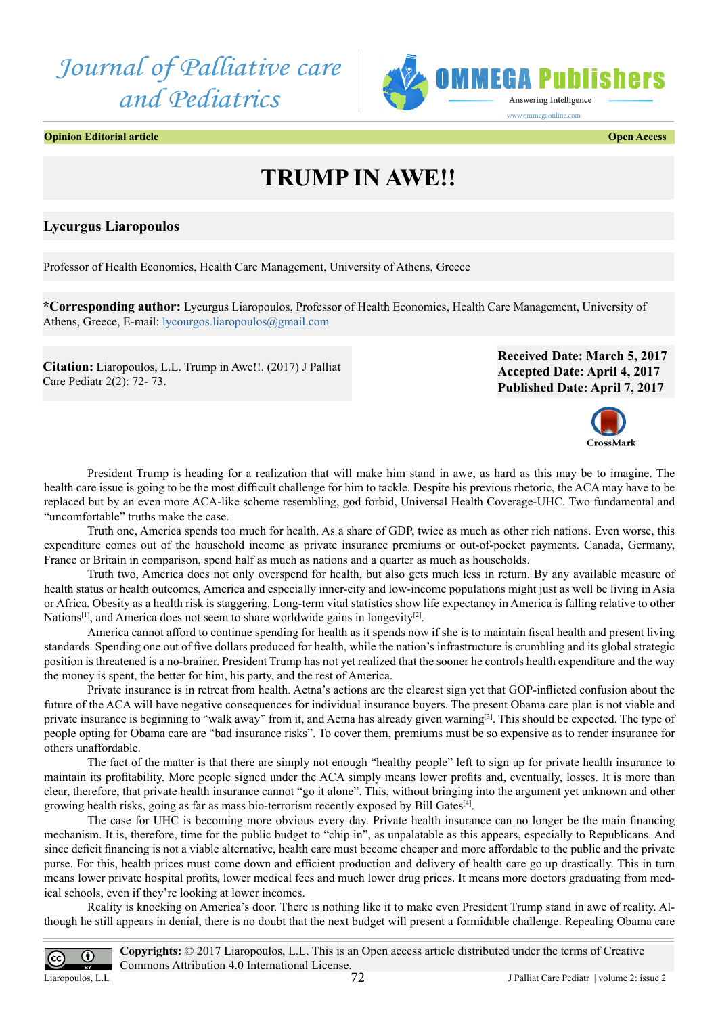



**Opinion Editorial article Open Access**

## **TRUMP IN AWE!!**

## **Lycurgus Liaropoulos**

Professor of Health Economics, Health Care Management, University of Athens, Greece

**\*Corresponding author:** Lycurgus Liaropoulos, Professor of Health Economics, Health Care Management, University of Athens, Greece, E-mail: [lycourgos.liaropoulos@gmail.com](mailto:lycourgos.liaropoulos@gmail.com)

**Citation:** Liaropoulos, L.L. Trump in Awe!!. (2017) J Palliat Care Pediatr 2(2): 72- 73.

**Received Date: March 5, 2017 Accepted Date: April 4, 2017 Published Date: April 7, 2017**



President Trump is heading for a realization that will make him stand in awe, as hard as this may be to imagine. The health care issue is going to be the most difficult challenge for him to tackle. Despite his previous rhetoric, the ACA may have to be replaced but by an even more ACA-like scheme resembling, god forbid, Universal Health Coverage-UHC. Two fundamental and "uncomfortable" truths make the case.

Truth one, America spends too much for health. As a share of GDP, twice as much as other rich nations. Even worse, this expenditure comes out of the household income as private insurance premiums or out-of-pocket payments. Canada, Germany, France or Britain in comparison, spend half as much as nations and a quarter as much as households.

Truth two, America does not only overspend for health, but also gets much less in return. By any available measure of health status or health outcomes, America and especially inner-city and low-income populations might just as well be living in Asia or Africa. Obesity as a health risk is staggering. Long-term vital statistics show life expectancy in America is falling relative to other Nations<sup>[\[1\]](#page-1-0)</sup>, and America does not seem to share worldwide gains in longevity<sup>[\[2\]](#page-1-1)</sup>.

America cannot afford to continue spending for health as it spends now if she is to maintain fiscal health and present living standards. Spending one out of five dollars produced for health, while the nation's infrastructure is crumbling and its global strategic position is threatened is a no-brainer. President Trump has not yet realized that the sooner he controls health expenditure and the way the money is spent, the better for him, his party, and the rest of America.

Private insurance is in retreat from health. Aetna's actions are the clearest sign yet that GOP-inflicted confusion about the future of the ACA will have negative consequences for individual insurance buyers. The present Obama care plan is not viable and private insurance is beginning to "walk away" from it, and Aetna has already given warning<sup>[\[3\]](#page-1-2)</sup>. This should be expected. The type of people opting for Obama care are "bad insurance risks". To cover them, premiums must be so expensive as to render insurance for others unaffordable.

The fact of the matter is that there are simply not enough "healthy people" left to sign up for private health insurance to maintain its profitability. More people signed under the ACA simply means lower profits and, eventually, losses. It is more than clear, therefore, that private health insurance cannot "go it alone". This, without bringing into the argument yet unknown and other growing health risks, going as far as mass bio-terrorism recently exposed by Bill Gate[s\[4\].](#page-1-3)

The case for UHC is becoming more obvious every day. Private health insurance can no longer be the main financing mechanism. It is, therefore, time for the public budget to "chip in", as unpalatable as this appears, especially to Republicans. And since deficit financing is not a viable alternative, health care must become cheaper and more affordable to the public and the private purse. For this, health prices must come down and efficient production and delivery of health care go up drastically. This in turn means lower private hospital profits, lower medical fees and much lower drug prices. It means more doctors graduating from medical schools, even if they're looking at lower incomes.

Reality is knocking on America's door. There is nothing like it to make even President Trump stand in awe of reality. Although he still appears in denial, there is no doubt that the next budget will present a formidable challenge. Repealing Obama care

**Copyrights:** © 2017 Liaropoulos, L.L. This is an Open access article distributed under the terms of Creative  $\odot$  $\overline{cc}$ Commons Attribution 4.0 International License. 72 Liaropoulos, L.L